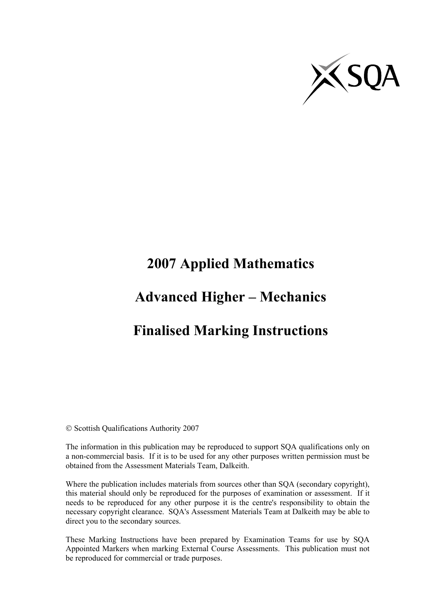

# **2007 Applied Mathematics**

## **Advanced Higher – Mechanics**

### **Finalised Marking Instructions**

© Scottish Qualifications Authority 2007

The information in this publication may be reproduced to support SQA qualifications only on a non-commercial basis. If it is to be used for any other purposes written permission must be obtained from the Assessment Materials Team, Dalkeith.

Where the publication includes materials from sources other than SQA (secondary copyright), this material should only be reproduced for the purposes of examination or assessment. If it needs to be reproduced for any other purpose it is the centre's responsibility to obtain the necessary copyright clearance. SQA's Assessment Materials Team at Dalkeith may be able to direct you to the secondary sources.

These Marking Instructions have been prepared by Examination Teams for use by SQA Appointed Markers when marking External Course Assessments. This publication must not be reproduced for commercial or trade purposes.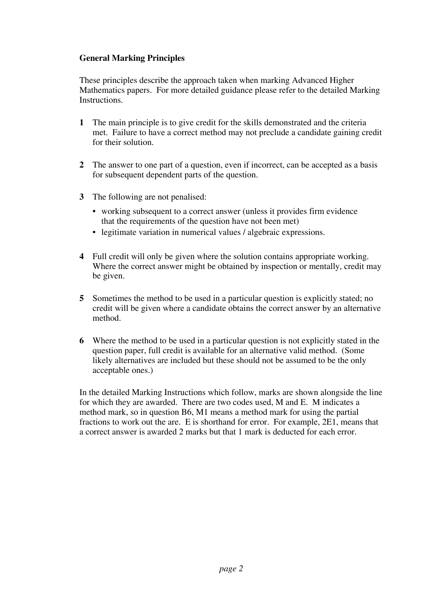#### **General Marking Principles**

These principles describe the approach taken when marking Advanced Higher Mathematics papers. For more detailed guidance please refer to the detailed Marking Instructions.

- **1** The main principle is to give credit for the skills demonstrated and the criteria met. Failure to have a correct method may not preclude a candidate gaining credit for their solution.
- **2** The answer to one part of a question, even if incorrect, can be accepted as a basis for subsequent dependent parts of the question.
- **3** The following are not penalised:
	- working subsequent to a correct answer (unless it provides firm evidence that the requirements of the question have not been met)
	- legitimate variation in numerical values / algebraic expressions.
- **4** Full credit will only be given where the solution contains appropriate working. Where the correct answer might be obtained by inspection or mentally, credit may be given.
- **5** Sometimes the method to be used in a particular question is explicitly stated; no credit will be given where a candidate obtains the correct answer by an alternative method.
- **6** Where the method to be used in a particular question is not explicitly stated in the question paper, full credit is available for an alternative valid method. (Some likely alternatives are included but these should not be assumed to be the only acceptable ones.)

In the detailed Marking Instructions which follow, marks are shown alongside the line for which they are awarded. There are two codes used, M and E. M indicates a method mark, so in question B6, M1 means a method mark for using the partial fractions to work out the are. E is shorthand for error. For example, 2E1, means that a correct answer is awarded 2 marks but that 1 mark is deducted for each error.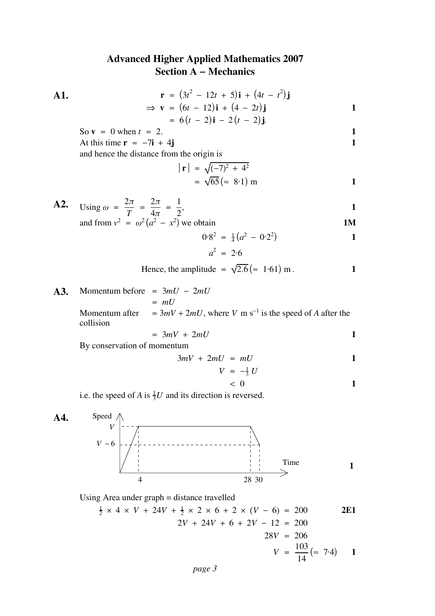### **Advanced Higher Applied Mathematics 2007 Section A − Mechanics**

A1. 
$$
\mathbf{r} = (3t^2 - 12t + 5)\mathbf{i} + (4t - t^2)\mathbf{j} \n\Rightarrow \mathbf{v} = (6t - 12)\mathbf{i} + (4 - 2t)\mathbf{j} \n= 6(t - 2)\mathbf{i} - 2(t - 2)\mathbf{j}
$$

So 
$$
\mathbf{v} = 0
$$
 when  $t = 2$ .

At this time  $\bf{r} = -7i + 4j$  **1** and hence the distance from the origin is

$$
|\mathbf{r}| = \sqrt{(-7)^2 + 4^2} \n= \sqrt{65} (\approx 8.1) \text{ m}
$$

A2. Using 
$$
\omega = \frac{2\pi}{T} = \frac{2\pi}{4\pi} = \frac{1}{2}
$$
,  
and from  $v^2 = \omega^2 (a^2 - x^2)$  we obtain

$$
0.82 = \frac{1}{4}(a2 - 0.22)
$$
  

$$
a2 = 2.6
$$

Hence, the amplitude = 
$$
\sqrt{2.6}
$$
 ( $\approx 1.61$ ) m.

 $a^2 = 2.6$ 

**A3.** Momentum before =  $3mU - 2mU$  $=$   $mU$ Momentum after  $= 3mV + 2mU$ , where V m s<sup>-1</sup> is the speed of A after the collision

$$
= 3mV + 2mU
$$
 1

By conservation of momentum

$$
3mV + 2mU = mU
$$
 1

$$
V = -\frac{1}{3} U
$$
  
< 0  
1

i.e. the speed of A is  $\frac{1}{3}U$  and its direction is reversed.



Using Area under graph = distance travelled

$$
\frac{1}{2} \times 4 \times V + 24V + \frac{1}{2} \times 2 \times 6 + 2 \times (V - 6) = 200
$$
  
2V + 24V + 6 + 2V - 12 = 200  
28V = 206  

$$
V = \frac{103}{14} (\approx 7.4)
$$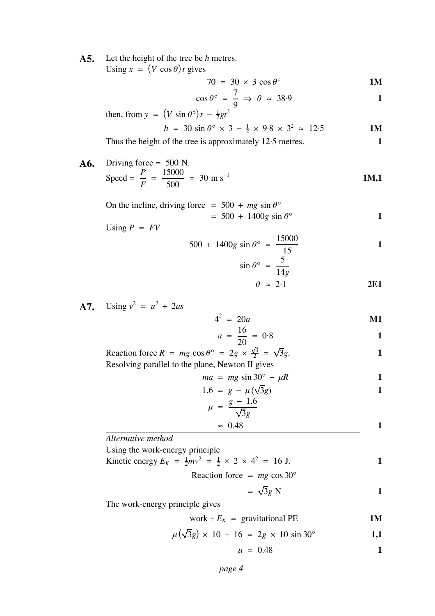A5. Let the height of the tree be h metres. Using  $x = (V \cos \theta) t$  gives

$$
70 = 30 \times 3 \cos \theta^{\circ}
$$
 1M

$$
\cos \theta^{\circ} = \frac{7}{9} \Rightarrow \theta \approx 38.9
$$

then, from 
$$
y = (V \sin \theta^{\circ})t - \frac{1}{2}gt^2
$$
  
\n $h = 30 \sin \theta^{\circ} \times 3 - \frac{1}{2} \times 9.8 \times 3^2 \approx 12.5$ 

Thus the height of the tree is approximately 12.5 metres. **1** 

 $\mathbf{A6.}$  Driving force = 500 N. Speed =  $\frac{P}{F}$  =  $\frac{15000}{500}$  = 30 m s<sup>-1</sup> **1M,1** 

On the incline, driving force = 
$$
500 + mg \sin \theta^{\circ}
$$
  
=  $500 + 1400g \sin \theta^{\circ}$   
Using  $P = FV$ 

$$
500 + 1400g \sin \theta^{\circ} = \frac{15000}{15}
$$

$$
\sin \theta^{\circ} = \frac{5}{14g}
$$
\n
$$
\theta \approx 2.1
$$
\n2E1

$$
\theta \approx 2.1 \qquad \qquad 2E1
$$

**A7.** Using  $v^2 = u^2 + 2as$ 

$$
4^2 = 20a \qquad \qquad \mathbf{M1}
$$

$$
a = \frac{16}{20} = 0.8
$$

Reaction force  $R = mg \cos \theta^{\circ} = 2g \times \frac{\sqrt{3}}{2} = \sqrt{3}g$ . Resolving parallel to the plane, Newton II gives

$$
ma = mg \sin 30^\circ - \mu R \tag{1}
$$

$$
1.6 = g - \mu(\sqrt{3}g)
$$

$$
\mu = \frac{g - 1.6}{\sqrt{3}g}
$$
  

$$
\approx 0.48
$$
 1

*Alternative method*

Using the work-energy principle

Kinetic energy 
$$
E_K = \frac{1}{2}mv^2 = \frac{1}{2} \times 2 \times 4^2 = 16 \text{ J.}
$$

Reaction force =  $mg \cos 30^\circ$ 

$$
= \sqrt{3}g \text{ N}
$$
 1

The work-energy principle gives

$$
work + E_K = gravitational PE
$$
 1M

$$
\mu(\sqrt{3}g) \times 10 + 16 = 2g \times 10 \sin 30^{\circ}
$$
 1,1

$$
\mu = 0.48 \tag{1}
$$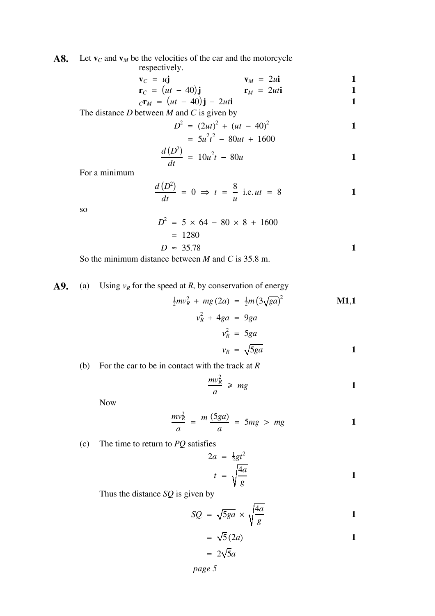#### **A8.** Let  $\mathbf{v}_c$  and  $\mathbf{v}_M$  be the velocities of the car and the motorcycle

respectively.

$$
\mathbf{v}_C = u\mathbf{j} \qquad \qquad \mathbf{v}_M = 2u\mathbf{i} \qquad \qquad \mathbf{1}
$$

$$
\mathbf{r}_C = (ut - 40)\mathbf{j} \qquad \qquad \mathbf{r}_M = 2ut\mathbf{i} \qquad \qquad \mathbf{1}
$$

$$
c\mathbf{r}_M = (ut - 40)\mathbf{j} - 2uti \qquad 1
$$

The distance  $D$  between  $M$  and  $C$  is given by

$$
D^2 = (2ut)^2 + (ut - 40)^2
$$
  
=  $5u^2t^2 - 80ut + 1600$ 

$$
= 5u^{2}t^{2} - 80ut + 1600
$$
  

$$
\frac{d(D^{2})}{dt} = 10u^{2}t - 80u
$$

For a minimum

$$
\frac{d(D^2)}{dt} = 0 \implies t = \frac{8}{u} \text{ i.e. } ut = 8
$$

so

$$
D^2 = 5 \times 64 - 80 \times 8 + 1600
$$
  
= 1280  

$$
D \approx 35.78
$$

So the minimum distance between  $M$  and  $C$  is 35.8 m.

**A9.** (a) Using 
$$
v_R
$$
 for the speed at *R*, by conservation of energy 
$$
\frac{1}{2}mv_R^2 + mg(2a) = \frac{1}{2}m(3\sqrt{ga})^2
$$

$$
v_R^2 + 4ga = 9ga
$$

$$
v_R^2 = 5ga
$$
  

$$
v_R = \sqrt{5ga}
$$

<sup>2</sup> **M1**,**1**

(b) For the car to be in contact with the track at 
$$
R
$$
.

$$
\frac{mv_R^2}{a} \geqslant mg
$$

Now

$$
\frac{mv_R^2}{a} = \frac{m(5ga)}{a} = 5mg > mg
$$
 1

(c) The time to return to  $PQ$  satisfies

$$
2a = \frac{1}{2}gt^2
$$
  

$$
t = \sqrt{\frac{4a}{g}}
$$

Thus the distance  $SQ$  is given by

$$
SQ = \sqrt{5ga} \times \sqrt{\frac{4a}{g}}
$$

$$
= \sqrt{5} (2a)
$$
  
=  $2\sqrt{5}a$ 

*page 5*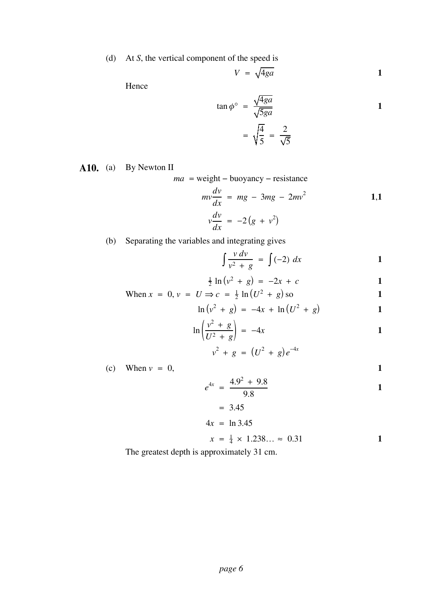(d) At *S*, the vertical component of the speed is

$$
V = \sqrt{4ga} \qquad \qquad 1
$$

Hence

$$
\tan \phi^\circ = \frac{\sqrt{4ga}}{\sqrt{5ga}}
$$

$$
= \sqrt{\frac{4}{5}} = \frac{2}{\sqrt{5}}
$$
1

**A10.** (a) By Newton II

*ma* = weight – buoyancy – resistance

$$
mv\frac{dv}{dx} = mg - 3mg - 2mv^2
$$
  
\n
$$
v\frac{dv}{dx} = -2(g + v^2)
$$

(b) Separating the variables and integrating gives

$$
\int \frac{v \, dv}{v^2 + g} = \int (-2) \, dx \tag{1}
$$

$$
\frac{1}{2} \ln (v^2 + g) = -2x + c
$$

When 
$$
x = 0
$$
,  $v = U \Rightarrow c = \frac{1}{2} \ln(U^2 + g) \text{ so}$  1

$$
\ln (v^2 + g) = -4x + \ln (U^2 + g)
$$
 1

$$
\ln\left(\frac{v^2+g}{U^2+g}\right) = -4x \tag{1}
$$

$$
v^2 + g = (U^2 + g)e^{-4x}
$$

(c) When  $v = 0$ , 1

$$
e^{4x} = \frac{4.9^2 + 9.8}{9.8}
$$

$$
= 3.45
$$
  

$$
4x = \ln 3.45
$$

 $x = \frac{1}{4} \times 1.238... \approx 0.31$  **1** 

The greatest depth is approximately 31 cm.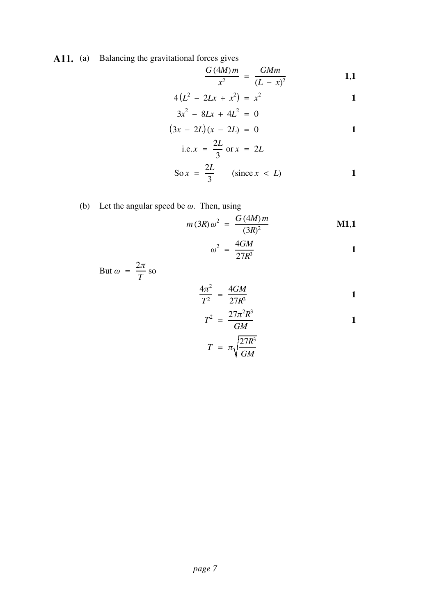A11. (a) Balancing the gravitational forces gives

$$
\frac{G (4M) m}{x^2} = \frac{GMm}{(L - x)^2}
$$
 1,1

$$
4(L^2 - 2Lx + x^2) = x^2
$$

$$
3x2 - 8Lx + 4L2 = 0
$$
  
(3x - 2L)(x - 2L) = 0

i.e. 
$$
x = \frac{2L}{3}
$$
 or  $x = 2L$   
2L

$$
\text{So } x = \frac{2L}{3} \qquad (\text{since } x < L) \tag{1}
$$

(b) Let the angular speed be  $\omega$ . Then, using

$$
m(3R)\,\omega^2\ =\ \frac{G\,(4M)\,m}{(3R)^2}\qquad \qquad \mathbf{M1,1}
$$

$$
\omega^2 = \frac{4GM}{27R^3} \tag{1}
$$

But  $\omega = \frac{2\pi}{\pi}$  so *T*

$$
\frac{4\pi^2}{T^2} = \frac{4GM}{27R^3}
$$

$$
T^2 = \frac{27\pi^2 R^3}{GM}
$$
 1

$$
T = \pi \sqrt{\frac{27R^3}{GM}}
$$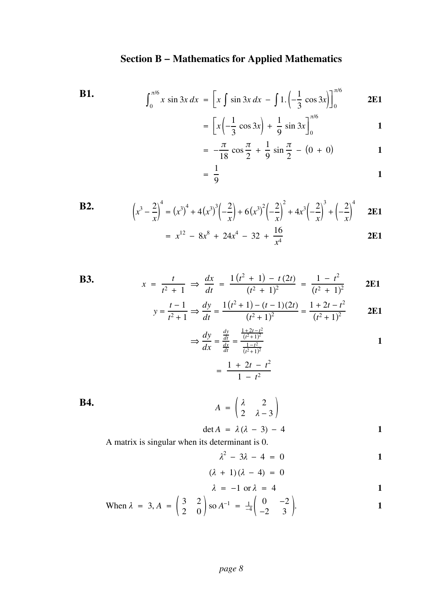### **Section B − Mathematics for Applied Mathematics**

**B1.**  

$$
\int_0^{\pi/6} x \sin 3x \, dx = \left[ x \int \sin 3x \, dx - \int 1 \cdot \left( -\frac{1}{3} \cos 3x \right) \right]_0^{\pi/6}
$$
 **2E1**

$$
= \left[ x \left( -\frac{1}{3} \cos 3x \right) + \frac{1}{9} \sin 3x \right]_0^{\pi/6}
$$

$$
= -\frac{\pi}{18} \cos \frac{\pi}{2} + \frac{1}{9} \sin \frac{\pi}{2} - (0 + 0)
$$
 1

$$
\frac{1}{9}
$$
 1

**B2.** 
$$
\left(x^3 - \frac{2}{x}\right)^4 = \left(x^3\right)^4 + 4\left(x^3\right)^3 \left(-\frac{2}{x}\right) + 6\left(x^3\right)^2 \left(-\frac{2}{x}\right)^2 + 4x^3 \left(-\frac{2}{x}\right)^3 + \left(-\frac{2}{x}\right)^4 \quad \text{2E1}
$$

 $=$ 

$$
= x^{12} - 8x^8 + 24x^4 - 32 + \frac{16}{x^4}
$$
 2E1

B3. 
$$
x = \frac{t}{t^2 + 1} \implies \frac{dx}{dt} = \frac{1(t^2 + 1) - t(2t)}{(t^2 + 1)^2} = \frac{1 - t^2}{(t^2 + 1)^2}
$$
 2E1

$$
y = \frac{t-1}{t^2+1} \Rightarrow \frac{dy}{dt} = \frac{1(t^2+1) - (t-1)(2t)}{(t^2+1)^2} = \frac{1+2t-t^2}{(t^2+1)^2}
$$
 **2E1**

$$
\Rightarrow \frac{dy}{dx} = \frac{\frac{dy}{dt}}{\frac{dx}{dt}} = \frac{\frac{1+2t-t^2}{(t^2+1)^2}}{\frac{1-t^2}{(t^2+1)^2}}
$$

$$
= \frac{1+2t-t^2}{1-t^2}
$$

**B4.**  $A = \begin{pmatrix} \lambda & 2 \\ 2 & \lambda - 3 \end{pmatrix}$ 

$$
\det A = \lambda(\lambda - 3) - 4 \tag{1}
$$

A matrix is singular when its determinant is 0.

$$
\lambda^2 - 3\lambda - 4 = 0
$$

$$
(\lambda + 1)(\lambda - 4) = 0
$$

$$
\lambda = -1 \text{ or } \lambda = 4
$$

When 
$$
\lambda = 3
$$
,  $A = \begin{pmatrix} 3 & 2 \\ 2 & 0 \end{pmatrix}$  so  $A^{-1} = \frac{1}{-4} \begin{pmatrix} 0 & -2 \\ -2 & 3 \end{pmatrix}$ .